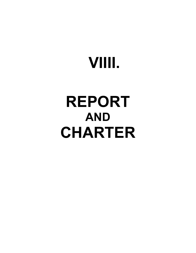# **VIIII.**

## **REPORT AND CHARTER**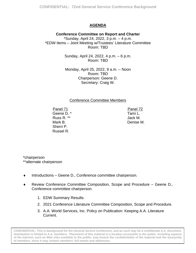#### **AGENDA**

#### **Conference Committee on Report and Charter** \*Sunday, April 24, 2022, 3 p.m. – 4 p.m. \*EDW Items – Joint Meeting w/Trustees' Literature Committee Room: TBD

Sunday, April 24, 2022, 4 p.m. – 6 p.m. Room: TBD

Monday, April 25, 2022, 9 a.m. – Noon Room: TBD Chairperson: Geene D. Secretary: Craig W.

#### Conference Committee Members

Panel 71 Geene D. \* Russ R. \*\* Mark B. Sherri P. Russel R.

Panel 72 Tami L. Jack M. Denise M.

### \*chairperson

\*\*alternate chairperson

- ♦ Introductions Geene D., Conference committee chairperson.
- ♦ Review Conference Committee Composition, Scope and Procedure Geene D., Conference committee chairperson.
	- 1. EDW Summary Results.
	- 2. 2021 Conference Literature Committee Composition, Scope and Procedure.
	- 3. A.A. World Services, Inc. Policy on Publication: Keeping A.A. Literature Current.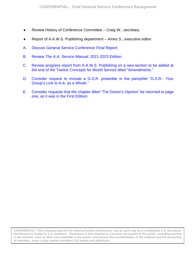- <span id="page-2-0"></span>♦ Review History of Conference Committee – Craig W., secretary.
- Report of A.A.W.S. Publishing department Ames S., executive editor.
- A. [Discuss General Service Conference](#page-3-0) *Final Report.*
- B. Review *[The A.A. Service Manual](#page-4-0)*, 2021-2023 Edition.
- C. [Review progress report from A.A.W.S. Publishing on](#page-5-0) a new section to be added at the end of the Twelve Concepts for World Service titled "Amendments."
- D. [Consider request to include a G.S.R. preamble in the](#page-9-0) pamphlet "G.S.R.: Your Group's Link to A.A. as a Whole."
- E. Consider requests that the chapter titled "The [Doctor's Opinion" be returned to page](#page-12-0) one, as it was in the First Edition.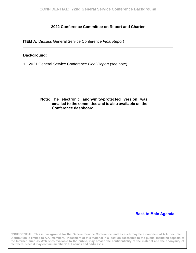#### **2022 Conference Committee on Report and Charter**

<span id="page-3-0"></span>**ITEM A:** Discuss General Service Conference *Final Report*

#### **Background:**

**1.** 2021 General Service Conference *Final Report* (see note)

**Note: The electronic anonymity-protected version was emailed to the committee and is also available on the Conference dashboard.** 

#### **[Back to Main Agenda](#page-2-0)**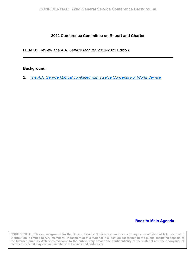#### **2022 Conference Committee on Report and Charter**

<span id="page-4-0"></span>**ITEM B:** Review *The A.A. Service Manual*, 2021-2023 Edition.

#### **Background:**

**1.** *The A.A. [Service Manual combined with Twelve Concepts](https://www.aa.org/sites/default/files/literature/en_bm-31_3.pdf) For World Service*

#### **[Back to Main Agenda](#page-2-0)**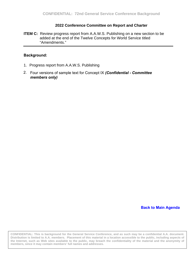#### **2022 Conference Committee on Report and Charter**

<span id="page-5-0"></span>**ITEM C:** Review progress report from A.A.W.S. Publishing on a new section to be added at the end of the Twelve Concepts for World Service titled "Amendments."

#### **Background:**

- 1. [Progress report from](#page-6-0) A.A.W.S. Publishing
- Four versions of sample text for Concept IX *(Confidential Committee*  2.*members only)*

**[Back to Main Agenda](#page-2-0)**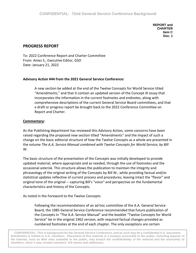**REPORT and CHARTER Item C Doc. 1** 

#### <span id="page-6-0"></span>**PROGRESS REPORT**

To: 2022 Conference Report and Charter Committee From: Ames S., Executive Editor, GSO Date: January 21, 2022

#### **Advisory Action #44 from the 2021 General Service Conference:**

A new section be added at the end of the Twelve Concepts for World Service titled "Amendments," and that it contain an updated version of the Concept XI essay that incorporates the information in the current footnotes and endnotes, along with comprehensive descriptions of the current General Service Board committees, and that a draft or progress report be brought back to the 2022 Conference Committee on Report and Charter.

#### **Commentary:**

As the Publishing department has reviewed this Advisory Action, some concerns have been raised regarding the proposed new section titled "Amendments" and the impact of such a change on the basic editorial structure of how the Twelve Concepts as a whole are presented in the volume *The A.A. Service Manual combined with Twelve Concepts for World Service, by Bill W.* 

The basic structure of the presentation of the Concepts was initially developed to provide updated material, where appropriate and as needed, through the use of footnotes and the occasional asterisk. This structure allows the publication to maintain the integrity and phraseology of the original writing of the Concepts by Bill W., while providing factual and/or statistical updates reflective of current process and procedures, leaving intact the "flavor" and original tone of the original -- capturing Bill's "voice" and perspective on the fundamental characteristics and history of the Concepts.

As noted in the Foreword to the Twelve Concepts:

Following the recommendations of an ad hoc committee of the A.A. General Service Board, the 1985 General Service Conference recommended that future publication of the Concepts in "The A.A. Service Manual" and the booklet "Twelve Concepts for World Service" be in the original 1962 version, with required factual changes provided as numbered footnotes at the end of each chapter. The only exceptions are certain

the Internet, such as Web sites available to the public, may breach the confidentiality of the material and the anonymity of **CONFIDENTIAL: This is background for the General Service Conference, and as such may be a confidential A.A. document. Distribution is limited to A.A. members. Placement of this material in a location accessible to the public, including aspects of members, since it may contain members' full names and addresses.**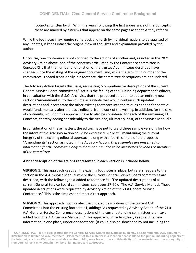footnotes written by Bill W. in the years following the first appearance of the Concepts: these are marked by asterisks that appear on the same pages as the text they refer to.

While the footnotes may require some back and forth by individual readers to be apprised of any updates, it keeps intact the original flow of thoughts and explanation provided by the author.

Of course, one Conference is not confined to the actions of another and, as noted in the 2021 Advisory Action above, one of the concerns articulated by the Conference committee in Concept XI is that the number and function of the trustees' committees described have changed since the writing of the original document, and, while the growth in number of the committees is noted traditionally in a footnote, the committee descriptions are not updated.

The Advisory Action targets this issue, requesting "comprehensive descriptions of the current General Service Board committees." Yet it is the feeling of the Publishing department's editors, in consultation with the G.S.O. Archivist, that the proposed solution to add an entirely new section ("Amendments") to the volume as a whole that would contain such updated descriptions and incorporate the other existing footnotes into the text, as needed for context, would fundamentally alter the basic editorial framework of the writing. In addition, for the sake of continuity, wouldn't this approach have to also be considered for each of the remaining 11 Concepts, thereby adding considerably to the size and, ultimately, cost, of the Service Manual?

In consideration of these matters, the editors have put forward three sample versions for how the intent of the Advisory Action could be expressed, while still maintaining the current integrity of the existing editorial approach, along with a fourth sample of the proposed "Amendments" section as noted in the Advisory Action. *These samples are presented as information for the committee only and are not intended to be distributed beyond the members of the committee.*

#### **A brief description of the actions represented in each version is included below.**

**VERSION 1:** This approach keeps all the existing footnotes in place, but refers readers to the section in the A.A. Service Manual where the current General Service Board committees are described, with the following text added to footnote #1: "For updated descriptions of all current General Service Board committees, see pages 57-60 of The A.A. Service Manual. These updated descriptions were requested by Advisory Action of the 71st General Service Conference." This is the simplest and most direct approach.

**VERSION 2:** This approach incorporates the updated descriptions of the current GSB Committees into the existing footnote #1, adding: "As requested by Advisory Action of the 71st A.A. General Service Conference, descriptions of the current standing committees are: [text added from the A.A. Service Manual]..." This approach, while lengthier, keeps all the new information in one place, under one footnote. (It could also be shortened by not including the

2 **the Internet, such as Web sites available to the public, may breach the confidentiality of the material and the anonymity of CONFIDENTIAL: This is background for the General Service Conference, and as such may be a confidential A.A. document. Distribution is limited to A.A. members. Placement of this material in a location accessible to the public, including aspects of members, since it may contain members' full names and addresses.**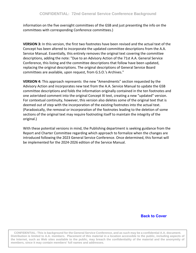information on the five oversight committees of the GSB and just presenting the info on the committees with corresponding Conference committees.)

**VERSION 3:** In this version, the first two footnotes have been revised and the actual text of the Concept has been altered to incorporate the updated committee descriptions from the A.A. Service Manual. Essentially, this entirely removes the original text covering the committee descriptions, adding the note: "Due to an Advisory Action of the 71st A.A. General Service Conference, this listing and the committee descriptions that follow have been updated, replacing the original descriptions. The original descriptions of General Service Board committees are available, upon request, from G.S.O.'s Archives."

**VERSION 4:** This approach represents the new "Amendments" section requested by the Advisory Action and incorporates new text from the A.A. Service Manual to update the GSB committee descriptions and folds the information originally contained in the ten footnotes and one asterisked comment into the original Concept XI text, creating a new "updated" version. For contextual continuity, however, this version also deletes some of the original text that is deemed out of step with the incorporation of the existing footnotes into the actual text. (Paradoxically, the removal or incorporation of the footnotes leading to the deletion of some sections of the original text may require footnoting itself to maintain the integrity of the original.)

With these potential versions in mind, the Publishing department is seeking guidance from the Report and Charter Committee regarding which approach to formalize when the changes are introduced following the 2023 General Service Conference. Once determined, this format will be implemented for the 2024-2026 edition of the Service Manual.

#### **[Back to Cover](#page-5-0)**

the Internet, such as Web sites available to the public, may breach the confidentiality of the material and the anonymity of **CONFIDENTIAL: This is background for the General Service Conference, and as such may be a confidential A.A. document. Distribution is limited to A.A. members. Placement of this material in a location accessible to the public, including aspects of members, since it may contain members' full names and addresses.**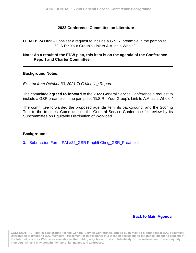#### **2022 Conference Committee on Literature**

<span id="page-9-0"></span>**ITEM D: PAI #22 -** Consider a request to include a G.S.R. preamble in the pamphlet "G.S.R.: Your Group's Link to A.A. as a Whole".

#### **Note: As a result of the EDW plan, this item is on the agenda of the Conference Report and Charter Committee**

#### **Background Notes:**

*Excerpt from October 30, 2021 TLC Meeting Report*:

The committee **agreed to forward** to the 2022 General Service Conference a request to include a GSR preamble in the pamphlet "G.S.R.: Your Group's Link to A.A. as a Whole."

The committee forwarded the proposed agenda item, its background, and the Scoring Tool to the trustees' Committee on the General Service Conference for review by its Subcommittee on Equitable Distribution of Workload.

\_\_\_\_\_\_\_\_\_\_\_\_\_\_\_\_\_\_\_\_\_\_\_\_\_\_\_\_\_\_\_\_\_\_\_\_\_\_\_\_\_\_\_\_\_\_\_\_\_\_\_\_\_\_\_\_\_\_\_\_\_\_\_\_\_\_\_\_\_\_

#### **Background:**

**1.** [Submission Form- PAI #22\\_GSR](#page-10-0) Pmphlt Chng\_GSR\_Preamble

#### **[Back to Main Agenda](#page-2-0)**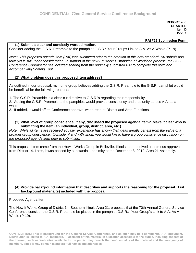**REPORT and CHARTER Item D Doc. 1** 

#### **PAI #22 Submission Form**

#### <span id="page-10-0"></span>(1) **Submit a clear and concisely worded motion.**

Consider adding the G.S.R. Preamble to the pamphlet G.S.R.: Your Groups Link to A.A. As A Whole (P-19).

*Note: This proposed agenda item (PAI) was submitted prior to the creation of this new standard PAI submission form yet is still under consideration. In support of the new Equitable Distribution of Workload process, the GSO Conference Coordinator has included sharing from the originally submitted PAI to complete this form and accompanying Scoring Tool.*

#### (2) **What problem does this proposed item address?**

As outlined in our proposal, my home group believes adding the G.S.R. Preamble to the G.S.R. pamphlet would be beneficial for the following reasons:

1. The G.S.R. Preamble is a clear-cut directive to G.S.R.'s regarding their responsibility.

2. Adding the G.S.R. Preamble to the pamphlet, would provide consistency and thus unity across A.A. as a whole.

3. If added, it would affirm Conference approval when read at District and Area Functions.

#### (3) **What level of group conscience, if any, discussed the proposed agenda item? Make it clear who is submitting the item (an individual, group, district, area, etc.).**

*Note: While all items are received equally, experience has shown that ideas greatly benefit from the value of a broader group conscience. Consider if and with whom you would like to have a group conscience discussion on the proposed agenda item prior to submitting.* 

This proposed item came from the How It Works Group in Belleville, Illinois, and received unanimous approval from District 14. Later, it was passed by substantial unanimity at the December 8, 2019, Area 21 Assembly.

#### (4) **Provide background information that describes and supports the reasoning for the proposal. List background material(s) included with the proposal:**

Proposed Agenda Item

The How It Works Group of District 14, Southern Illinois Area 21, proposes that the 70th Annual General Service Conference consider the G.S.R. Preamble be placed in the pamphlet G.S.R.: Your Group's Link to A.A. As A Whole (P-19).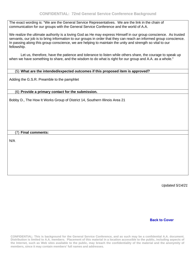The exact wording is: "We are the General Service Representatives. We are the link in the chain of communication for our groups with the General Service Conference and the world of A.A.

We realize the ultimate authority is a loving God as He may express Himself in our group conscience. As trusted servants, our job is to bring information to our groups in order that they can reach an informed group conscience. In passing along this group conscience, we are helping to maintain the unity and strength so vital to our fellowship.

Let us, therefore, have the patience and tolerance to listen while others share, the courage to speak up when we have something to share, and the wisdom to do what is right for our group and A.A. as a whole."

#### (5) **What are the intended/expected outcomes if this proposed item is approved?**

Adding the G.S.R. Preamble to the pamphlet

#### (6) **Provide a primary contact for the submission.**

Bobby D., The How It Works Group of District 14, Southern Illinois Area 21

(7) **Final comments:**

N/A

*Updated 5/14/21*

**[Back to Cover](#page-9-0)**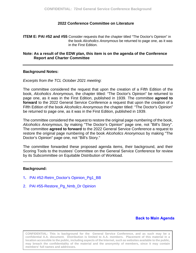#### **2022 Conference Committee on Literature**

<span id="page-12-0"></span>**ITEM E: PAI #52 and #55** Consider requests that the chapter titled "The Doctor's Opinion" in the book *Alcoholics Anonymous* be returned to page one, as it was in the First Edition.

#### **Note: As a result of the EDW plan, this item is on the agenda of the Conference Report and Charter Committee**

#### **Background Notes:**

*Excerpts from the TCL October 2021 meeting*:

The committee considered the request that upon the creation of a Fifth Edition of the book, *Alcoholics Anonymous,* the chapter titled: "The Doctor's Opinion" be returned to page one, as it was in the First Edition, published in 1939. The committee **agreed to forward** to the 2022 General Service Conference a request that upon the creation of a Fifth Edition of the book *Alcoholics Anonymous* the chapter titled: "The Doctor's Opinion" be returned to page one, as it was in the First Edition, published in 1939.

The committee considered the request to restore the original page numbering of the book, *Alcoholics Anonymous,* by making "The Doctor's Opinion" page one, not "Bill's Story". The committee **agreed to forward** to the 2022 General Service Conference a request to restore the original page numbering of the book *Alcoholics Anonymous* by making "The Doctor's Opinion" page one, not "Bill's Story."

The committee forwarded these proposed agenda items, their background, and their Scoring Tools to the trustees' Committee on the General Service Conference for review by its Subcommittee on Equitable Distribution of Workload.

\_\_\_\_\_\_\_\_\_\_\_\_\_\_\_\_\_\_\_\_\_\_\_\_\_\_\_\_\_\_\_\_\_\_\_\_\_\_\_\_\_\_\_\_\_\_\_\_\_\_\_\_\_\_\_\_\_\_\_\_\_\_\_\_\_\_\_\_\_\_

#### **Background:**

- 1**.** [PAI #52-Retrn\\_Doctor's](#page-13-0) Opinion\_Pg1\_BB
- 2. [PAI #55-Restore\\_Pg\\_Nmb\\_Dr Opinion](#page-16-0)

#### **[Back to Main Agenda](#page-2-0)**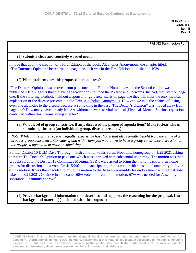**PAI #52 Submission Form**

1

#### <span id="page-13-0"></span>(1) **Submit a clear and concisely worded motion.**

I move that upon the creation of a Fifth Edition of the book, Alcoholics Anonymous, the chapter titled: "**The Doctor's Opinion**" be returned to page one, as it was in the First Edition, published in 1939.

#### (2) **What problem does this proposed item address?**

"The Doctor's Opinion" was moved from page one to the Roman Numerals when the Second edition was published. Data suggests that the average reader does not read the Preface and Forwards. Instead, they start on page one. If the suffering alcoholic, without a sponsor or guidance, starts on page one they will miss the only medical explanation of the disease presented in the Text, Alcoholics Anonymous. How can we take the chance of losing even one alcoholic to the disease because at some time in the past "The Doctor's Opinion" was moved away from page one? How many have already left AA without answers to vital medical (Physical, Mental, Spiritual) questions contained within this life-sustaining chapter?

(3) **What level of group conscience, if any, discussed the proposed agenda item? Make it clear who is submitting the item (an individual, group, district, area, etc.).**

*Note: While all items are received equally, experience has shown that ideas greatly benefit from the value of a broader group conscience. Consider if and with whom you would like to have a group conscience discussion on the proposed agenda item prior to submitting.*

Former District 10 DCM Dave T. brought forth a motion to his Salem Noontime homegroup on 1/23/2021 asking to return The Doctor's Opinion to page one which was approved with substantial unanimity. The motion was then brought forth to the District 10 Committee Meeting. GSR's were asked to bring the motion back to their home groups for discussion and a vote. On 4/15/2021, all participating groups voted with substantial unanimity in favor of the motion. It was then decided to bring the motion to the Area 43 Assembly for endorsement with a final vote taken on 8/21/2021. Of those in attendance 60% voted in favor of the motion; 67% was needed for Assembly substantial unanimity approval.

(4) **Provide background information that describes and supports the reasoning for the proposal. List background material(s) included with the proposal:**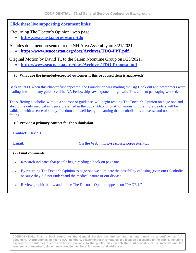#### **Click these live supporting document links:**

"Returning The Doctor's Opinion" web page.

• **https://seacoastaa.org/return-tdo**

A slides document presented to the NH Area Assembly on 8/21/2021.

• **https:/[/www.seacoastaa.org/docs/Archives/TDO-PPT.pdf](http://www.seacoastaa.org/docs/Archives/TDO-PPT.pdf)**

Original Motion by David T., to the Salem Noontime Group on  $1/23/2021$ .

• **https:/[/www.seacoastaa.org/docs/Archives/TDO-Proposal.pdf](http://www.seacoastaa.org/docs/Archives/TDO-Proposal.pdf)**

#### (5) **What are the intended/expected outcomes if this proposed item is approved?**

Back in 1939, when this chapter first appeared, the Foundation was mailing the Big Book out and newcomers were reading it without any guidance. The AA Fellowship saw exponential growth. This content packaging worked.

The suffering alcoholic, without a sponsor or guidance, will begin reading The Doctor's Opinion on page one and absorb the only medical evidence presented in the book, Alcoholics Anonymous. Furthermore, readers will be validated with a sense of surety, freedom and well-being in learning that alcoholism is a disease and not a moral failing.

#### (6) **Provide a primary contact for the submission.**

**Contact:** David T.

**Email:On the Web:** https://seacoastaa.org/return-tdo

(7) **Final comments:**

- Research indicates that people begin reading a book on page one.
- By returning The Doctor's Opinion to page one we eliminate the possibility of losing (even one) alcoholic because they did not understand the medical nature of our disease.
- Review graphic below and notice The Doctor's Opinion appears on "PAGE 1."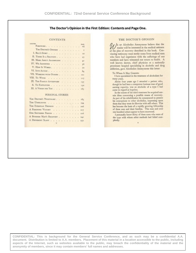#### The Doctor's Opinion in the First Edition: Contents and Page One.

#### **CONTENTS**

| CHAPTER<br>FOREWORD.         |  |  |  |  | PAOH<br>VI1  |
|------------------------------|--|--|--|--|--------------|
| THE DOCTOR'S OPINION         |  |  |  |  | $\mathbf{r}$ |
| I. BILL'S STORY              |  |  |  |  | IO           |
| II. THERE IS A SOLUTION.     |  |  |  |  | 27           |
| III. MORE ABOUT ALCOHOLISM   |  |  |  |  | 41           |
| IV. WE AGNOSTICS             |  |  |  |  | 56           |
| V. How It WORKS.             |  |  |  |  | 70           |
| VI. INTO ACTION              |  |  |  |  | 84           |
| VII. WORKING WITH OTHERS 101 |  |  |  |  |              |
| VIII. To Wives               |  |  |  |  | 117          |
| IX. THE FAMILY AFTERWARD     |  |  |  |  | 135          |
| X. TO EMPLOYERS              |  |  |  |  | 150          |
| XI. A VISION FOR YOU         |  |  |  |  | 165          |
| PERSONAL STORIES             |  |  |  |  |              |

| THE DOCTOR'S NIGHTMARE. 183                  |  |  |  |
|----------------------------------------------|--|--|--|
| THE UNBELIEVER 194                           |  |  |  |
| THE EUROPEAN DRINKER + + + + + + + + + + 206 |  |  |  |
| A FEMININE VICTORY 217                       |  |  |  |
| OUR SOUTHERN FRIEND 226                      |  |  |  |
| A BUSINESS MAN'S RECOVERY 242                |  |  |  |
| A DIFFERENT SLANT 252                        |  |  |  |
|                                              |  |  |  |

#### THE DOCTOR'S OPINION

/E OF Alcoholics Anonymous believe that the /// E or Alcoholics Anonymous believe that the<br>reader will be interested in the medical estimate of the plan of recovery described in this book. Convincing testimony must surely come from medical men who have had experience with the sufferings of our members and have witnessed our return to health. A well known doctor, chief physician at a nationally prominent hospital specializing in alcoholic and drug addiction, gave Alcoholics Anonymous this letter:

#### To Whom It May Concern:

I have specialized in the treatment of alcoholism for many years.

About four years ago I attended a patient who, though he had been a competent business man of good earning capacity, was an alcoholic of a type I had come to regard as hopeless.

In the course of his third treatment he acquired certain ideas concerning a possible means of recovery. As part of his rehabilitation he commenced to present<br>his conceptions to other alcoholics, impessing upon them that they must do likewise with still others. This has become the basis of a rapidly growing fellowship<br>of these men and their families. This man and over one hundred others appear to have recovered.

I personally know thirty of these cases who were of the type with whom other methods had failed completely.  $\mathbb{R}^3$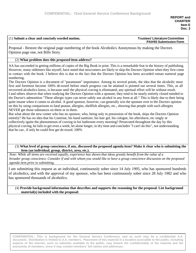#### <span id="page-16-0"></span>(1) **Submit a clear and concisely worded motion. Trustees' Literature Committee**

### **PAI#55 Submission Form**

Proposal - Restore the original page numbering of the book Alcoholics Anonymous by making the Doctors Opinion page one, not Bills Story.

#### (2) **What problem does this proposed item address?**

AA has succeeded in getting millions of copies of the Big Book in print. This is a remarkable feat in the history of publishing. However, many oldtimers like myself, have noted that newcomers are likely to skip the Doctors Opinion when they first come in contact with the book. I believe this is due to the fact that the Doctors Opinion has been accorded roman numeral page numbering.

The Doctors Opinion is a document of "paramount" importance. Among its several points, the idea that the alcoholic must first and foremost become 100% de-toxed before much progress can be attained is pointed out several times. This, as all recovered alcoholics know, is because until the physical craving is eliminated, any spiritual effort will be without result. I and others observe that when studying the Doctors Opinion with a sponsee, they tend to be nearly entirely closed minded to the Doctor's admonition "These allergic types can never safely use alcohol in any form at all." This is likely due to their being quite insane when it comes to alcohol. A good sponsor, however, can generally win the sponsee over to the Doctors opinion on this by using comparisons to fatal peanut, allergies, shellfish allergies, etc., showing that people with such allergies NEVER get those substances on them or in them.

But what about the new comer who has no sponsor, who, being only in possession of the book, skips the Doctors Opinion entirely? He has no idea that his Listerine, his hand sanitizer, his hair gel, his cologne, his aftershave, etc singly or collectively ignite the phenomenon of craving in hsi bathroom every morning? Persecuted throughout the day by this physical craving, he fails to get even a week, let alone longer, in dry time and concludes "I can't do this", not understanding that he can , if only he could first get de-toxed. 100%

#### (3) What level of group conscience, if any, discussed the proposed agenda item? Make it clear who is submitting the **item (an individual, group, district, area, etc.).**

Note: While all items are received equally, experience has shown that ideas greatly benefit from the value of a *broader group conscience. Consider if and with whom you would like to have a group conscience discussion on the proposed agenda item prior to submitting.*

I am submitting this request as an individual, continuously sober since 14 July 1995, who has sponsored hundreds of alcoholics, and with the approval of my sponsor, who has been continuously sober since 28 July 1982 and who has sponsored thousands of alcoholics.

#### (4) **Provide background information that describes and supports the reasoning for the proposal. List background material(s) included with the proposal:**